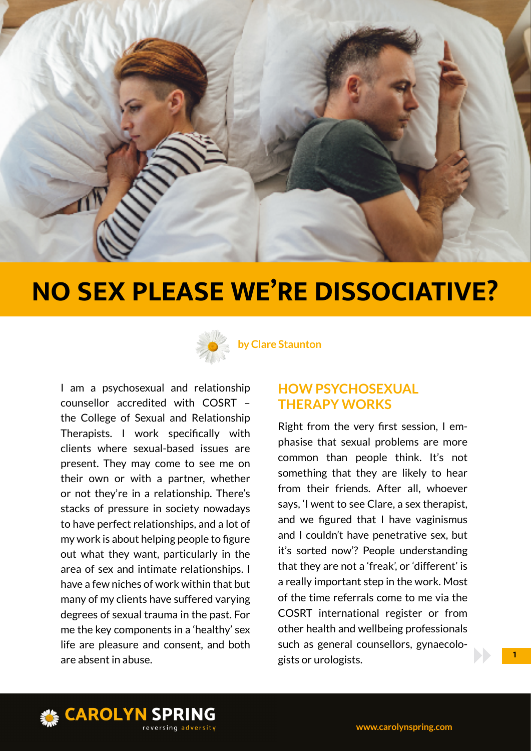



**by Clare Staunton**

I am a psychosexual and relationship counsellor accredited with COSRT – the College of Sexual and Relationship Therapists. I work specifically with clients where sexual-based issues are present. They may come to see me on their own or with a partner, whether or not they're in a relationship. There's stacks of pressure in society nowadays to have perfect relationships, and a lot of my work is about helping people to figure out what they want, particularly in the area of sex and intimate relationships. I have a few niches of work within that but many of my clients have suffered varying degrees of sexual trauma in the past. For me the key components in a 'healthy' sex life are pleasure and consent, and both are absent in abuse.

## **HOW PSYCHOSEXUAL THERAPY WORKS**

Right from the very first session, I emphasise that sexual problems are more common than people think. It's not something that they are likely to hear from their friends. After all, whoever says, 'I went to see Clare, a sex therapist, and we figured that I have vaginismus and I couldn't have penetrative sex, but it's sorted now'? People understanding that they are not a 'freak', or 'different' is a really important step in the work. Most of the time referrals come to me via the COSRT international register or from other health and wellbeing professionals such as general counsellors, gynaecologists or urologists.

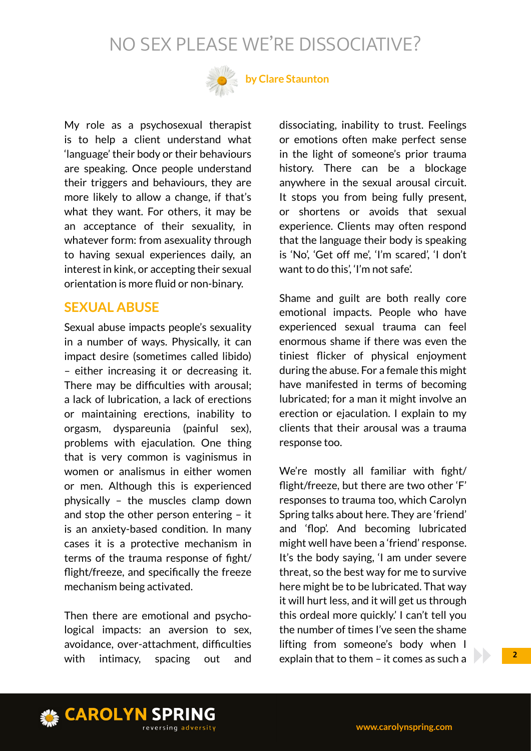

## **by Clare Staunton**

My role as a psychosexual therapist is to help a client understand what 'language' their body or their behaviours are speaking. Once people understand their triggers and behaviours, they are more likely to allow a change, if that's what they want. For others, it may be an acceptance of their sexuality, in whatever form: from asexuality through to having sexual experiences daily, an interest in kink, or accepting their sexual orientation is more fluid or non-binary.

#### **SEXUAL ABUSE**

Sexual abuse impacts people's sexuality in a number of ways. Physically, it can impact desire (sometimes called libido) – either increasing it or decreasing it. There may be difficulties with arousal; a lack of lubrication, a lack of erections or maintaining erections, inability to orgasm, dyspareunia (painful sex), problems with ejaculation. One thing that is very common is vaginismus in women or analismus in either women or men. Although this is experienced physically – the muscles clamp down and stop the other person entering – it is an anxiety-based condition. In many cases it is a protective mechanism in terms of the trauma response of fight/ flight/freeze, and specifically the freeze mechanism being activated.

Then there are emotional and psychological impacts: an aversion to sex, avoidance, over-attachment, difficulties with intimacy, spacing out and

dissociating, inability to trust. Feelings or emotions often make perfect sense in the light of someone's prior trauma history. There can be a blockage anywhere in the sexual arousal circuit. It stops you from being fully present, or shortens or avoids that sexual experience. Clients may often respond that the language their body is speaking is 'No', 'Get off me', 'I'm scared', 'I don't want to do this', 'I'm not safe'.

Shame and guilt are both really core emotional impacts. People who have experienced sexual trauma can feel enormous shame if there was even the tiniest flicker of physical enjoyment during the abuse. For a female this might have manifested in terms of becoming lubricated; for a man it might involve an erection or ejaculation. I explain to my clients that their arousal was a trauma response too.

We're mostly all familiar with fight/ flight/freeze, but there are two other 'F' responses to trauma too, which Carolyn Spring talks about here. They are 'friend' and 'flop'. And becoming lubricated might well have been a 'friend' response. It's the body saying, 'I am under severe threat, so the best way for me to survive here might be to be lubricated. That way it will hurt less, and it will get us through this ordeal more quickly.' I can't tell you the number of times I've seen the shame lifting from someone's body when I explain that to them – it comes as such a

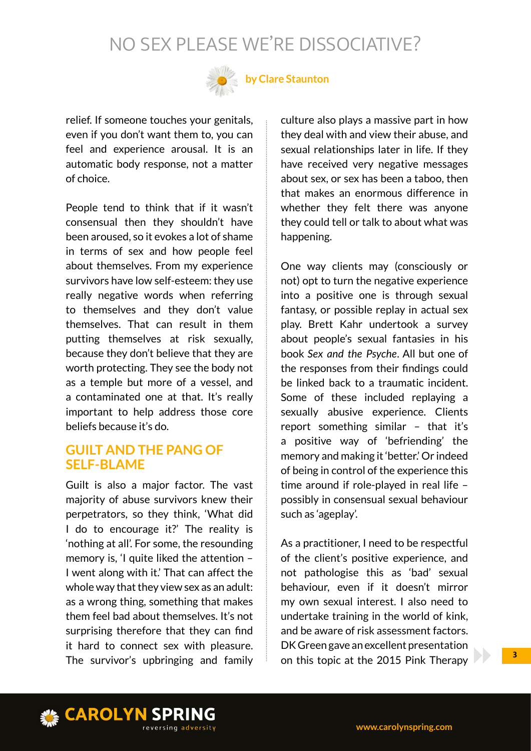

## **by Clare Staunton**

relief. If someone touches your genitals, even if you don't want them to, you can feel and experience arousal. It is an automatic body response, not a matter of choice.

People tend to think that if it wasn't consensual then they shouldn't have been aroused, so it evokes a lot of shame in terms of sex and how people feel about themselves. From my experience survivors have low self-esteem: they use really negative words when referring to themselves and they don't value themselves. That can result in them putting themselves at risk sexually, because they don't believe that they are worth protecting. They see the body not as a temple but more of a vessel, and a contaminated one at that. It's really important to help address those core beliefs because it's do.

### **GUILT AND THE PANG OF SELF-BLAME**

Guilt is also a major factor. The vast majority of abuse survivors knew their perpetrators, so they think, 'What did I do to encourage it?' The reality is 'nothing at all'. For some, the resounding memory is, 'I quite liked the attention – I went along with it.' That can affect the whole way that they view sex as an adult: as a wrong thing, something that makes them feel bad about themselves. It's not surprising therefore that they can find it hard to connect sex with pleasure. The survivor's upbringing and family culture also plays a massive part in how they deal with and view their abuse, and sexual relationships later in life. If they have received very negative messages about sex, or sex has been a taboo, then that makes an enormous difference in whether they felt there was anyone they could tell or talk to about what was happening.

One way clients may (consciously or not) opt to turn the negative experience into a positive one is through sexual fantasy, or possible replay in actual sex play. Brett Kahr undertook a survey about people's sexual fantasies in his book *Sex and the Psyche*. All but one of the responses from their findings could be linked back to a traumatic incident. Some of these included replaying a sexually abusive experience. Clients report something similar – that it's a positive way of 'befriending' the memory and making it 'better.' Or indeed of being in control of the experience this time around if role-played in real life – possibly in consensual sexual behaviour such as 'ageplay'.

As a practitioner, I need to be respectful of the client's positive experience, and not pathologise this as 'bad' sexual behaviour, even if it doesn't mirror my own sexual interest. I also need to undertake training in the world of kink, and be aware of risk assessment factors. DK Green gave an excellent presentation on this topic at the 2015 Pink Therapy

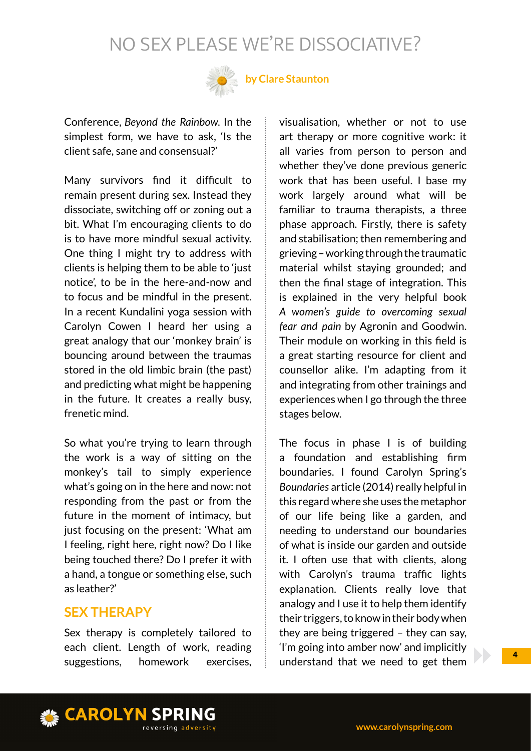

## **by Clare Staunton**

Conference, *Beyond the Rainbow.* In the simplest form, we have to ask, 'Is the client safe, sane and consensual?'

Many survivors find it difficult to remain present during sex. Instead they dissociate, switching off or zoning out a bit. What I'm encouraging clients to do is to have more mindful sexual activity. One thing I might try to address with clients is helping them to be able to 'just notice', to be in the here-and-now and to focus and be mindful in the present. In a recent Kundalini yoga session with Carolyn Cowen I heard her using a great analogy that our 'monkey brain' is bouncing around between the traumas stored in the old limbic brain (the past) and predicting what might be happening in the future. It creates a really busy, frenetic mind.

So what you're trying to learn through the work is a way of sitting on the monkey's tail to simply experience what's going on in the here and now: not responding from the past or from the future in the moment of intimacy, but just focusing on the present: 'What am I feeling, right here, right now? Do I like being touched there? Do I prefer it with a hand, a tongue or something else, such as leather?'

#### **SEX THERAPY**

Sex therapy is completely tailored to each client. Length of work, reading suggestions, homework exercises,

visualisation, whether or not to use art therapy or more cognitive work: it all varies from person to person and whether they've done previous generic work that has been useful. I base my work largely around what will be familiar to trauma therapists, a three phase approach. Firstly, there is safety and stabilisation; then remembering and grieving – working through the traumatic material whilst staying grounded; and then the final stage of integration. This is explained in the very helpful book *A women's guide to overcoming sexual fear and pain* by Agronin and Goodwin. Their module on working in this field is a great starting resource for client and counsellor alike. I'm adapting from it and integrating from other trainings and experiences when I go through the three stages below.

The focus in phase I is of building a foundation and establishing firm boundaries. I found Carolyn Spring's *Boundaries* article (2014) really helpful in this regard where she uses the metaphor of our life being like a garden, and needing to understand our boundaries of what is inside our garden and outside it. I often use that with clients, along with Carolyn's trauma traffic lights explanation. Clients really love that analogy and I use it to help them identify their triggers, to know in their body when they are being triggered – they can say, 'I'm going into amber now' and implicitly understand that we need to get them

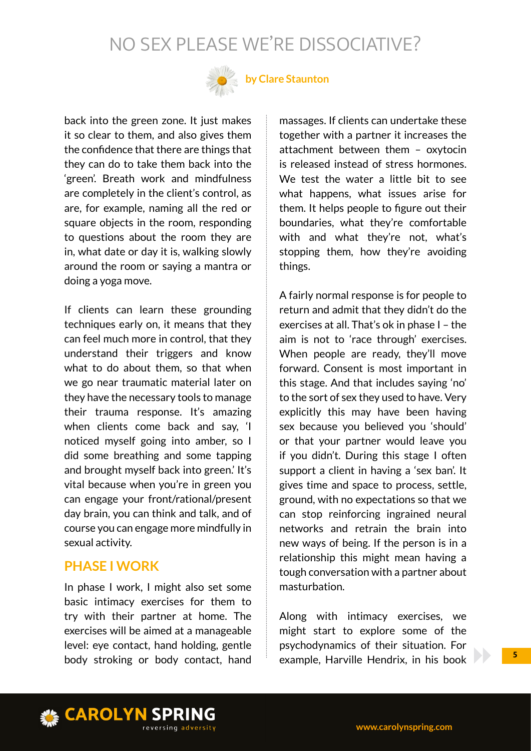

## **by Clare Staunton**

back into the green zone. It just makes it so clear to them, and also gives them the confidence that there are things that they can do to take them back into the 'green'. Breath work and mindfulness are completely in the client's control, as are, for example, naming all the red or square objects in the room, responding to questions about the room they are in, what date or day it is, walking slowly around the room or saying a mantra or doing a yoga move.

If clients can learn these grounding techniques early on, it means that they can feel much more in control, that they understand their triggers and know what to do about them, so that when we go near traumatic material later on they have the necessary tools to manage their trauma response. It's amazing when clients come back and say, 'I noticed myself going into amber, so I did some breathing and some tapping and brought myself back into green.' It's vital because when you're in green you can engage your front/rational/present day brain, you can think and talk, and of course you can engage more mindfully in sexual activity.

## **PHASE I WORK**

In phase I work, I might also set some basic intimacy exercises for them to try with their partner at home. The exercises will be aimed at a manageable level: eye contact, hand holding, gentle body stroking or body contact, hand

massages. If clients can undertake these together with a partner it increases the attachment between them – oxytocin is released instead of stress hormones. We test the water a little bit to see what happens, what issues arise for them. It helps people to figure out their boundaries, what they're comfortable with and what they're not, what's stopping them, how they're avoiding things.

A fairly normal response is for people to return and admit that they didn't do the exercises at all. That's ok in phase I – the aim is not to 'race through' exercises. When people are ready, they'll move forward. Consent is most important in this stage. And that includes saying 'no' to the sort of sex they used to have. Very explicitly this may have been having sex because you believed you 'should' or that your partner would leave you if you didn't. During this stage I often support a client in having a 'sex ban'. It gives time and space to process, settle, ground, with no expectations so that we can stop reinforcing ingrained neural networks and retrain the brain into new ways of being. If the person is in a relationship this might mean having a tough conversation with a partner about masturbation.

Along with intimacy exercises, we might start to explore some of the psychodynamics of their situation. For example, Harville Hendrix, in his book

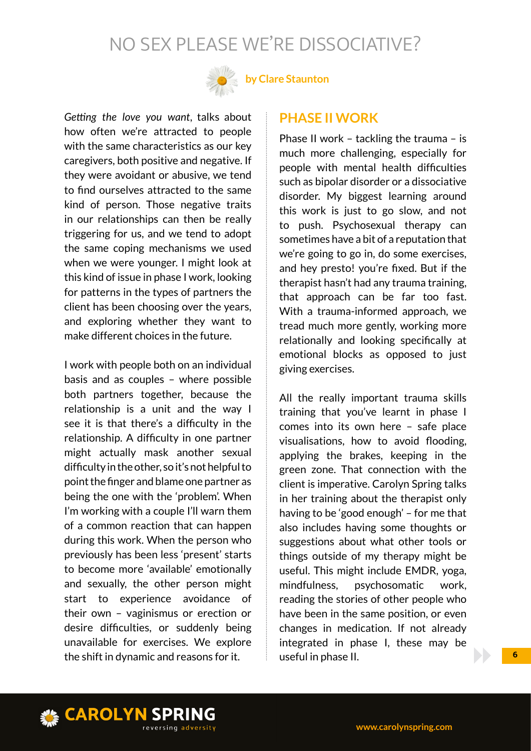

## **by Clare Staunton**

*Getting the love you want*, talks about how often we're attracted to people with the same characteristics as our key caregivers, both positive and negative. If they were avoidant or abusive, we tend to find ourselves attracted to the same kind of person. Those negative traits in our relationships can then be really triggering for us, and we tend to adopt the same coping mechanisms we used when we were younger. I might look at this kind of issue in phase I work, looking for patterns in the types of partners the client has been choosing over the years, and exploring whether they want to make different choices in the future.

I work with people both on an individual basis and as couples – where possible both partners together, because the relationship is a unit and the way I see it is that there's a difficulty in the relationship. A difficulty in one partner might actually mask another sexual difficulty in the other, so it's not helpful to point the finger and blame one partner as being the one with the 'problem'. When I'm working with a couple I'll warn them of a common reaction that can happen during this work. When the person who previously has been less 'present' starts to become more 'available' emotionally and sexually, the other person might start to experience avoidance of their own – vaginismus or erection or desire difficulties, or suddenly being unavailable for exercises. We explore the shift in dynamic and reasons for it.

#### **PHASE II WORK**

Phase II work – tackling the trauma – is much more challenging, especially for people with mental health difficulties such as bipolar disorder or a dissociative disorder. My biggest learning around this work is just to go slow, and not to push. Psychosexual therapy can sometimes have a bit of a reputation that we're going to go in, do some exercises, and hey presto! you're fixed. But if the therapist hasn't had any trauma training, that approach can be far too fast. With a trauma-informed approach, we tread much more gently, working more relationally and looking specifically at emotional blocks as opposed to just giving exercises.

All the really important trauma skills training that you've learnt in phase I comes into its own here – safe place visualisations, how to avoid flooding, applying the brakes, keeping in the green zone. That connection with the client is imperative. Carolyn Spring talks in her training about the therapist only having to be 'good enough' – for me that also includes having some thoughts or suggestions about what other tools or things outside of my therapy might be useful. This might include EMDR, yoga, mindfulness, psychosomatic work, reading the stories of other people who have been in the same position, or even changes in medication. If not already integrated in phase I, these may be useful in phase II.

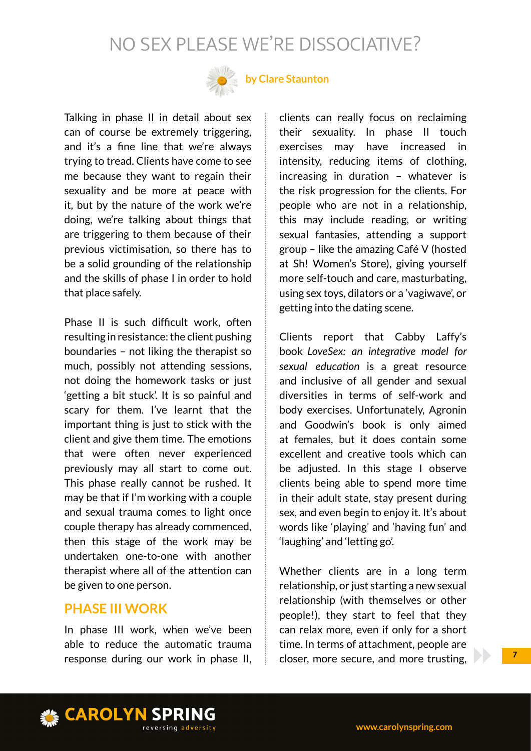

## **by Clare Staunton**

Talking in phase II in detail about sex can of course be extremely triggering, and it's a fine line that we're always trying to tread. Clients have come to see me because they want to regain their sexuality and be more at peace with it, but by the nature of the work we're doing, we're talking about things that are triggering to them because of their previous victimisation, so there has to be a solid grounding of the relationship and the skills of phase I in order to hold that place safely.

Phase II is such difficult work, often resulting in resistance: the client pushing boundaries – not liking the therapist so much, possibly not attending sessions, not doing the homework tasks or just 'getting a bit stuck'. It is so painful and scary for them. I've learnt that the important thing is just to stick with the client and give them time. The emotions that were often never experienced previously may all start to come out. This phase really cannot be rushed. It may be that if I'm working with a couple and sexual trauma comes to light once couple therapy has already commenced, then this stage of the work may be undertaken one-to-one with another therapist where all of the attention can be given to one person.

#### **PHASE III WORK**

In phase III work, when we've been able to reduce the automatic trauma response during our work in phase II, clients can really focus on reclaiming their sexuality. In phase II touch exercises may have increased in intensity, reducing items of clothing, increasing in duration – whatever is the risk progression for the clients. For people who are not in a relationship, this may include reading, or writing sexual fantasies, attending a support group – like the amazing Café V (hosted at Sh! Women's Store), giving yourself more self-touch and care, masturbating, using sex toys, dilators or a 'vagiwave', or getting into the dating scene.

Clients report that Cabby Laffy's book *LoveSex: an integrative model for sexual education* is a great resource and inclusive of all gender and sexual diversities in terms of self-work and body exercises. Unfortunately, Agronin and Goodwin's book is only aimed at females, but it does contain some excellent and creative tools which can be adjusted. In this stage I observe clients being able to spend more time in their adult state, stay present during sex, and even begin to enjoy it. It's about words like 'playing' and 'having fun' and 'laughing' and 'letting go'.

Whether clients are in a long term relationship, or just starting a new sexual relationship (with themselves or other people!), they start to feel that they can relax more, even if only for a short time. In terms of attachment, people are closer, more secure, and more trusting,

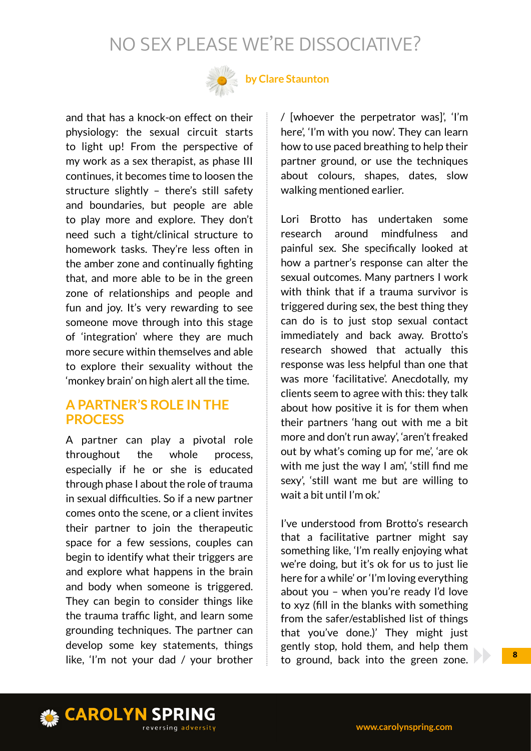

## **by Clare Staunton**

and that has a knock-on effect on their physiology: the sexual circuit starts to light up! From the perspective of my work as a sex therapist, as phase III continues, it becomes time to loosen the structure slightly – there's still safety and boundaries, but people are able to play more and explore. They don't need such a tight/clinical structure to homework tasks. They're less often in the amber zone and continually fighting that, and more able to be in the green zone of relationships and people and fun and joy. It's very rewarding to see someone move through into this stage of 'integration' where they are much more secure within themselves and able to explore their sexuality without the 'monkey brain' on high alert all the time.

#### **A PARTNER'S ROLE IN THE PROCESS**

A partner can play a pivotal role throughout the whole process, especially if he or she is educated through phase I about the role of trauma in sexual difficulties. So if a new partner comes onto the scene, or a client invites their partner to join the therapeutic space for a few sessions, couples can begin to identify what their triggers are and explore what happens in the brain and body when someone is triggered. They can begin to consider things like the trauma traffic light, and learn some grounding techniques. The partner can develop some key statements, things like, 'I'm not your dad / your brother / [whoever the perpetrator was]', 'I'm here', 'I'm with you now'. They can learn how to use paced breathing to help their partner ground, or use the techniques about colours, shapes, dates, slow walking mentioned earlier.

Lori Brotto has undertaken some research around mindfulness and painful sex. She specifically looked at how a partner's response can alter the sexual outcomes. Many partners I work with think that if a trauma survivor is triggered during sex, the best thing they can do is to just stop sexual contact immediately and back away. Brotto's research showed that actually this response was less helpful than one that was more 'facilitative'. Anecdotally, my clients seem to agree with this: they talk about how positive it is for them when their partners 'hang out with me a bit more and don't run away', 'aren't freaked out by what's coming up for me', 'are ok with me just the way I am', 'still find me sexy', 'still want me but are willing to wait a bit until I'm ok.'

I've understood from Brotto's research that a facilitative partner might say something like, 'I'm really enjoying what we're doing, but it's ok for us to just lie here for a while' or 'I'm loving everything about you – when you're ready I'd love to xyz (fill in the blanks with something from the safer/established list of things that you've done.)' They might just gently stop, hold them, and help them to ground, back into the green zone.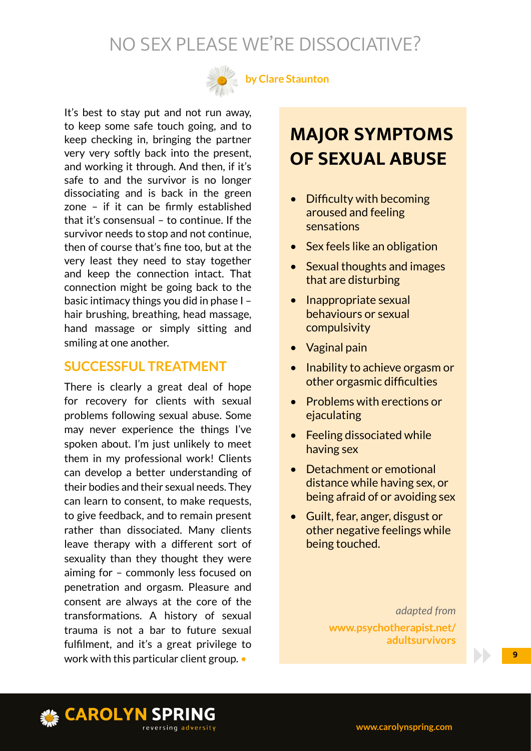

**by Clare Staunton**

It's best to stay put and not run away, to keep some safe touch going, and to keep checking in, bringing the partner very very softly back into the present, and working it through. And then, if it's safe to and the survivor is no longer dissociating and is back in the green zone – if it can be firmly established that it's consensual – to continue. If the survivor needs to stop and not continue, then of course that's fine too, but at the very least they need to stay together and keep the connection intact. That connection might be going back to the basic intimacy things you did in phase I – hair brushing, breathing, head massage, hand massage or simply sitting and smiling at one another.

#### **SUCCESSFUL TREATMENT**

There is clearly a great deal of hope for recovery for clients with sexual problems following sexual abuse. Some may never experience the things I've spoken about. I'm just unlikely to meet them in my professional work! Clients can develop a better understanding of their bodies and their sexual needs. They can learn to consent, to make requests, to give feedback, and to remain present rather than dissociated. Many clients leave therapy with a different sort of sexuality than they thought they were aiming for – commonly less focused on penetration and orgasm. Pleasure and consent are always at the core of the transformations. A history of sexual trauma is not a bar to future sexual fulfilment, and it's a great privilege to work with this particular client group. •

## **MAJOR SYMPTOMS OF SEXUAL ABUSE**

- Difficulty with becoming aroused and feeling sensations
- Sex feels like an obligation
- Sexual thoughts and images that are disturbing
- Inappropriate sexual behaviours or sexual compulsivity
- Vaginal pain
- Inability to achieve orgasm or other orgasmic difficulties
- Problems with erections or ejaculating
- Feeling dissociated while having sex
- Detachment or emotional distance while having sex, or being afraid of or avoiding sex
- Guilt, fear, anger, disgust or other negative feelings while being touched.

*adapted from*  **www.psychotherapist.net/ adultsurvivors**